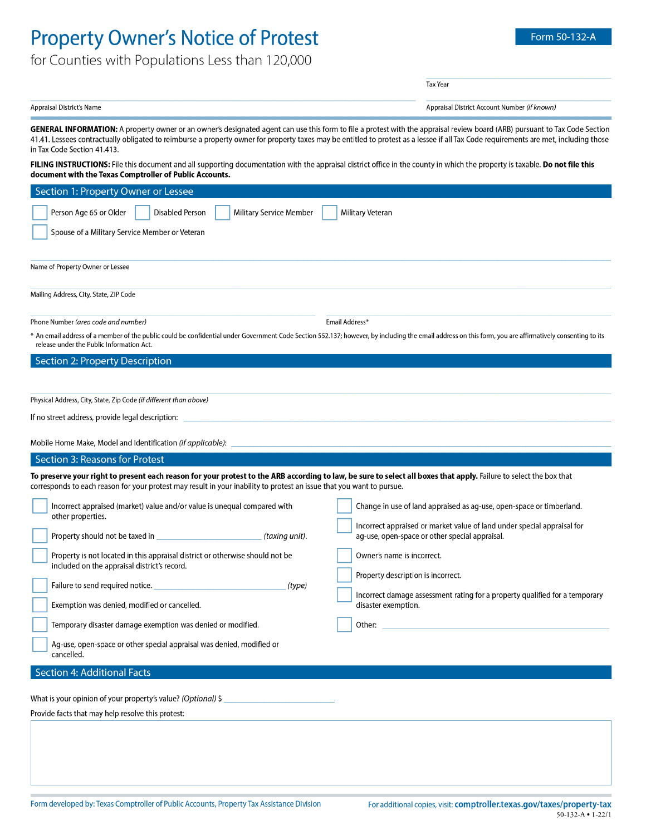## **Property Owner's Notice of Protest**

Appraisal District's Name

**Tax Year** 

Appraisal District Account Number (if known)

GENERAL INFORMATION: A property owner or an owner's designated agent can use this form to file a protest with the appraisal review board (ARB) pursuant to Tax Code Section 41.41. Lessees contractually obligated to reimburse a property owner for property taxes may be entitled to protest as a lessee if all Tax Code requirements are met, including those in Tax Code Section 41.413.

FILING INSTRUCTIONS: File this document and all supporting documentation with the appraisal district office in the county in which the property is taxable. Do not file this document with the Texas Comptroller of Public Accounts.

| Section 1: Property Owner or Lessee                                                                                                                                                                                                                                                         |                                                                                                    |  |
|---------------------------------------------------------------------------------------------------------------------------------------------------------------------------------------------------------------------------------------------------------------------------------------------|----------------------------------------------------------------------------------------------------|--|
| Person Age 65 or Older<br>Disabled Person<br>Military Service Member                                                                                                                                                                                                                        | Military Veteran                                                                                   |  |
| Spouse of a Military Service Member or Veteran                                                                                                                                                                                                                                              |                                                                                                    |  |
|                                                                                                                                                                                                                                                                                             |                                                                                                    |  |
| Name of Property Owner or Lessee                                                                                                                                                                                                                                                            |                                                                                                    |  |
| Mailing Address, City, State, ZIP Code                                                                                                                                                                                                                                                      |                                                                                                    |  |
| Phone Number (area code and number)                                                                                                                                                                                                                                                         | Email Address*                                                                                     |  |
| * An email address of a member of the public could be confidential under Government Code Section 552.137; however, by including the email address on this form, you are affirmatively consenting to its<br>release under the Public Information Act.                                        |                                                                                                    |  |
| Section 2: Property Description                                                                                                                                                                                                                                                             |                                                                                                    |  |
|                                                                                                                                                                                                                                                                                             |                                                                                                    |  |
| Physical Address, City, State, Zip Code (if different than above)                                                                                                                                                                                                                           |                                                                                                    |  |
| If no street address, provide legal description:                                                                                                                                                                                                                                            |                                                                                                    |  |
| Mobile Home Make, Model and Identification (if applicable):                                                                                                                                                                                                                                 |                                                                                                    |  |
| Section 3: Reasons for Protest                                                                                                                                                                                                                                                              |                                                                                                    |  |
|                                                                                                                                                                                                                                                                                             |                                                                                                    |  |
| To preserve your right to present each reason for your protest to the ARB according to law, be sure to select all boxes that apply. Failure to select the box that<br>corresponds to each reason for your protest may result in your inability to protest an issue that you want to pursue. |                                                                                                    |  |
|                                                                                                                                                                                                                                                                                             |                                                                                                    |  |
| Incorrect appraised (market) value and/or value is unequal compared with                                                                                                                                                                                                                    | Change in use of land appraised as ag-use, open-space or timberland.                               |  |
| other properties.                                                                                                                                                                                                                                                                           | Incorrect appraised or market value of land under special appraisal for                            |  |
| (taxing unit).                                                                                                                                                                                                                                                                              | ag-use, open-space or other special appraisal.                                                     |  |
| Property is not located in this appraisal district or otherwise should not be<br>included on the appraisal district's record.                                                                                                                                                               | Owner's name is incorrect.                                                                         |  |
| Failure to send required notice.<br>(type)                                                                                                                                                                                                                                                  | Property description is incorrect.                                                                 |  |
| Exemption was denied, modified or cancelled.                                                                                                                                                                                                                                                | Incorrect damage assessment rating for a property qualified for a temporary<br>disaster exemption. |  |
| Temporary disaster damage exemption was denied or modified.                                                                                                                                                                                                                                 | Other: $\_\_$                                                                                      |  |
| Ag-use, open-space or other special appraisal was denied, modified or<br>cancelled.                                                                                                                                                                                                         |                                                                                                    |  |
| Section 4: Additional Facts                                                                                                                                                                                                                                                                 |                                                                                                    |  |
|                                                                                                                                                                                                                                                                                             |                                                                                                    |  |
| What is your opinion of your property's value? (Optional) \$                                                                                                                                                                                                                                |                                                                                                    |  |